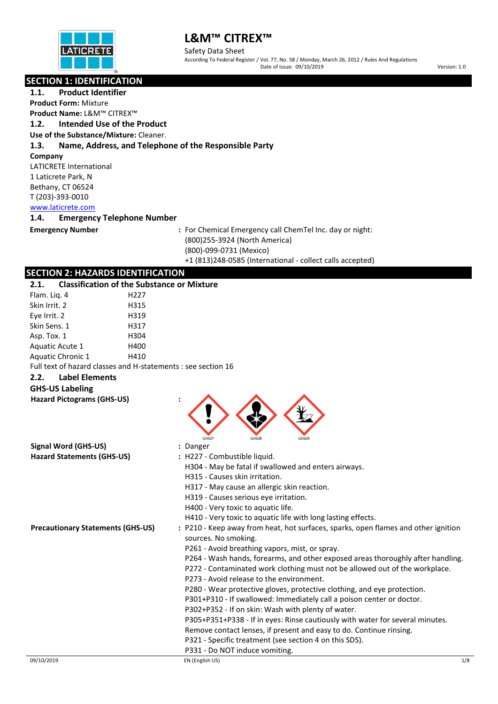

Safety Data Sheet According To Federal Register / Vol. 77, No. 58 / Monday, March 26, 2012 / Rules And Regulations Date of Issue: 09/10/2019 Version: 1.0

## **SECTION 1: IDENTIFICATION**

**1.1. Product Identifier Product Form:** Mixture **Product Name:** L&M™ CITREX™ **1.2. Intended Use of the Product Use of the Substance/Mixture:** Cleaner. **1.3. Name, Address, and Telephone of the Responsible Party Company** LATICRETE International 1 Laticrete Park, N Bethany, CT 06524 T (203)-393-0010 [www.laticrete.com](http://www.laticrete.com/)  **1.4. Emergency Telephone Number Emergency Number :** For Chemical Emergency call ChemTel Inc. day or night: (800)255-3924 (North America) (800)-099-0731 (Mexico) +1 (813)248-0585 (International - collect calls accepted) **SECTION 2: HAZARDS IDENTIFICATION 2.1. Classification of the Substance or Mixture** Flam. Liq. 4 H227 Skin Irrit. 2 H315 Eye Irrit. 2 H319 Skin Sens. 1 H317 Asp. Tox. 1 H304 Aquatic Acute 1 H400 Aquatic Chronic 1 H410 Full text of hazard classes and H-statements : see section 16 **2.2. Label Elements GHS-US Labeling Hazard Pictograms (GHS-US) :**

|                                          | GHS07<br>GHS08<br>GHS09                                                                                    |         |  |  |
|------------------------------------------|------------------------------------------------------------------------------------------------------------|---------|--|--|
| Signal Word (GHS-US)                     | : Danger                                                                                                   |         |  |  |
| <b>Hazard Statements (GHS-US)</b>        | : H227 - Combustible liquid.                                                                               |         |  |  |
|                                          | H304 - May be fatal if swallowed and enters airways.                                                       |         |  |  |
|                                          | H315 - Causes skin irritation.                                                                             |         |  |  |
|                                          | H317 - May cause an allergic skin reaction.                                                                |         |  |  |
|                                          | H319 - Causes serious eye irritation.                                                                      |         |  |  |
|                                          | H400 - Very toxic to aquatic life.                                                                         |         |  |  |
|                                          | H410 - Very toxic to aquatic life with long lasting effects.                                               |         |  |  |
| <b>Precautionary Statements (GHS-US)</b> | : P210 - Keep away from heat, hot surfaces, sparks, open flames and other ignition<br>sources. No smoking. |         |  |  |
|                                          | P261 - Avoid breathing vapors, mist, or spray.                                                             |         |  |  |
|                                          | P264 - Wash hands, forearms, and other exposed areas thoroughly after handling.                            |         |  |  |
|                                          | P272 - Contaminated work clothing must not be allowed out of the workplace.                                |         |  |  |
|                                          | P273 - Avoid release to the environment.                                                                   |         |  |  |
|                                          | P280 - Wear protective gloves, protective clothing, and eye protection.                                    |         |  |  |
|                                          | P301+P310 - If swallowed: Immediately call a poison center or doctor.                                      |         |  |  |
|                                          | P302+P352 - If on skin: Wash with plenty of water.                                                         |         |  |  |
|                                          | P305+P351+P338 - If in eyes: Rinse cautiously with water for several minutes.                              |         |  |  |
|                                          | Remove contact lenses, if present and easy to do. Continue rinsing.                                        |         |  |  |
|                                          | P321 - Specific treatment (see section 4 on this SDS).                                                     |         |  |  |
|                                          | P331 - Do NOT induce vomiting.                                                                             |         |  |  |
| 09/10/2019                               | EN (English US)                                                                                            | $1/\xi$ |  |  |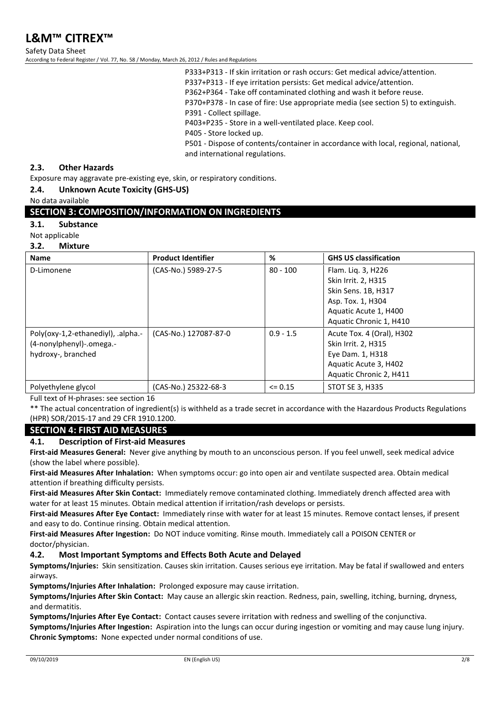Safety Data Sheet According to Federal Register / Vol. 77, No. 58 / Monday, March 26, 2012 / Rules and Regulations

> P333+P313 - If skin irritation or rash occurs: Get medical advice/attention. P337+P313 - If eye irritation persists: Get medical advice/attention. P362+P364 - Take off contaminated clothing and wash it before reuse. P370+P378 - In case of fire: Use appropriate media (see section 5) to extinguish. P391 - Collect spillage.

P403+P235 - Store in a well-ventilated place. Keep cool.

P405 - Store locked up.

P501 - Dispose of contents/container in accordance with local, regional, national, and international regulations.

#### **2.3. Other Hazards**

Exposure may aggravate pre-existing eye, skin, or respiratory conditions.

#### **2.4. Unknown Acute Toxicity (GHS-US)**

No data available

#### **SECTION 3: COMPOSITION/INFORMATION ON INGREDIENTS**

#### **3.1. Substance**

Not applicable

**3.2. Mixture**

| <b>Name</b>                                                                          | <b>Product Identifier</b> | %           | <b>GHS US classification</b>                                                                                             |
|--------------------------------------------------------------------------------------|---------------------------|-------------|--------------------------------------------------------------------------------------------------------------------------|
| D-Limonene                                                                           | (CAS-No.) 5989-27-5       | $80 - 100$  | Flam. Liq. 3, H226<br>Skin Irrit. 2, H315<br>Skin Sens. 1B, H317                                                         |
|                                                                                      |                           |             | Asp. Tox. 1, H304<br>Aquatic Acute 1, H400<br>Aquatic Chronic 1, H410                                                    |
| Poly(oxy-1,2-ethanediyl), .alpha.-<br>(4-nonylphenyl)-.omega.-<br>hydroxy-, branched | (CAS-No.) 127087-87-0     | $0.9 - 1.5$ | Acute Tox. 4 (Oral), H302<br>Skin Irrit. 2, H315<br>Eye Dam. 1, H318<br>Aquatic Acute 3, H402<br>Aquatic Chronic 2, H411 |
| Polyethylene glycol                                                                  | (CAS-No.) 25322-68-3      | $\leq$ 0.15 | <b>STOT SE 3, H335</b>                                                                                                   |

Full text of H-phrases: see section 16

\*\* The actual concentration of ingredient(s) is withheld as a trade secret in accordance with the Hazardous Products Regulations (HPR) SOR/2015-17 and 29 CFR 1910.1200.

## **SECTION 4: FIRST AID MEASURES**

#### **4.1. Description of First-aid Measures**

**First-aid Measures General:** Never give anything by mouth to an unconscious person. If you feel unwell, seek medical advice (show the label where possible).

**First-aid Measures After Inhalation:** When symptoms occur: go into open air and ventilate suspected area. Obtain medical attention if breathing difficulty persists.

**First-aid Measures After Skin Contact:** Immediately remove contaminated clothing. Immediately drench affected area with water for at least 15 minutes. Obtain medical attention if irritation/rash develops or persists.

**First-aid Measures After Eye Contact:** Immediately rinse with water for at least 15 minutes. Remove contact lenses, if present and easy to do. Continue rinsing. Obtain medical attention.

**First-aid Measures After Ingestion:** Do NOT induce vomiting. Rinse mouth. Immediately call a POISON CENTER or doctor/physician.

#### **4.2. Most Important Symptoms and Effects Both Acute and Delayed**

**Symptoms/Injuries:** Skin sensitization. Causes skin irritation. Causes serious eye irritation. May be fatal if swallowed and enters airways.

**Symptoms/Injuries After Inhalation:** Prolonged exposure may cause irritation.

**Symptoms/Injuries After Skin Contact:** May cause an allergic skin reaction. Redness, pain, swelling, itching, burning, dryness, and dermatitis.

**Symptoms/Injuries After Eye Contact:** Contact causes severe irritation with redness and swelling of the conjunctiva.

**Symptoms/Injuries After Ingestion:** Aspiration into the lungs can occur during ingestion or vomiting and may cause lung injury. **Chronic Symptoms:** None expected under normal conditions of use.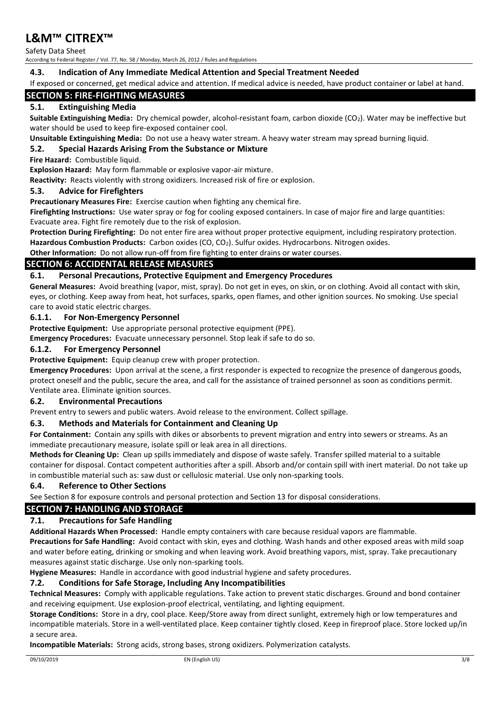Safety Data Sheet According to Federal Register / Vol. 77, No. 58 / Monday, March 26, 2012 / Rules and Regulations

## **4.3. Indication of Any Immediate Medical Attention and Special Treatment Needed**

If exposed or concerned, get medical advice and attention. If medical advice is needed, have product container or label at hand.

## **SECTION 5: FIRE-FIGHTING MEASURES**

#### **5.1. Extinguishing Media**

**Suitable Extinguishing Media:** Dry chemical powder, alcohol-resistant foam, carbon dioxide (CO2). Water may be ineffective but water should be used to keep fire-exposed container cool.

**Unsuitable Extinguishing Media:** Do not use a heavy water stream. A heavy water stream may spread burning liquid.

#### **5.2. Special Hazards Arising From the Substance or Mixture**

**Fire Hazard:** Combustible liquid.

**Explosion Hazard:** May form flammable or explosive vapor-air mixture.

**Reactivity:** Reacts violently with strong oxidizers. Increased risk of fire or explosion.

#### **5.3. Advice for Firefighters**

**Precautionary Measures Fire:** Exercise caution when fighting any chemical fire.

**Firefighting Instructions:** Use water spray or fog for cooling exposed containers. In case of major fire and large quantities: Evacuate area. Fight fire remotely due to the risk of explosion.

**Protection During Firefighting:** Do not enter fire area without proper protective equipment, including respiratory protection. Hazardous Combustion Products: Carbon oxides (CO, CO<sub>2</sub>). Sulfur oxides. Hydrocarbons. Nitrogen oxides.

**Other Information:** Do not allow run-off from fire fighting to enter drains or water courses.

#### **SECTION 6: ACCIDENTAL RELEASE MEASURES**

#### **6.1. Personal Precautions, Protective Equipment and Emergency Procedures**

**General Measures:** Avoid breathing (vapor, mist, spray). Do not get in eyes, on skin, or on clothing. Avoid all contact with skin, eyes, or clothing. Keep away from heat, hot surfaces, sparks, open flames, and other ignition sources. No smoking. Use special care to avoid static electric charges.

#### **6.1.1. For Non-Emergency Personnel**

**Protective Equipment:** Use appropriate personal protective equipment (PPE).

**Emergency Procedures:** Evacuate unnecessary personnel. Stop leak if safe to do so.

#### **6.1.2. For Emergency Personnel**

**Protective Equipment:** Equip cleanup crew with proper protection.

**Emergency Procedures:** Upon arrival at the scene, a first responder is expected to recognize the presence of dangerous goods, protect oneself and the public, secure the area, and call for the assistance of trained personnel as soon as conditions permit. Ventilate area. Eliminate ignition sources.

#### **6.2. Environmental Precautions**

Prevent entry to sewers and public waters. Avoid release to the environment. Collect spillage.

#### **6.3. Methods and Materials for Containment and Cleaning Up**

**For Containment:** Contain any spills with dikes or absorbents to prevent migration and entry into sewers or streams. As an immediate precautionary measure, isolate spill or leak area in all directions.

**Methods for Cleaning Up:** Clean up spills immediately and dispose of waste safely. Transfer spilled material to a suitable container for disposal. Contact competent authorities after a spill. Absorb and/or contain spill with inert material. Do not take up in combustible material such as: saw dust or cellulosic material. Use only non-sparking tools.

#### **6.4. Reference to Other Sections**

See Section 8 for exposure controls and personal protection and Section 13 for disposal considerations.

#### **SECTION 7: HANDLING AND STORAGE**

#### **7.1. Precautions for Safe Handling**

**Additional Hazards When Processed:** Handle empty containers with care because residual vapors are flammable.

**Precautions for Safe Handling:** Avoid contact with skin, eyes and clothing. Wash hands and other exposed areas with mild soap and water before eating, drinking or smoking and when leaving work. Avoid breathing vapors, mist, spray. Take precautionary measures against static discharge. Use only non-sparking tools.

**Hygiene Measures:** Handle in accordance with good industrial hygiene and safety procedures.

#### **7.2. Conditions for Safe Storage, Including Any Incompatibilities**

**Technical Measures:** Comply with applicable regulations. Take action to prevent static discharges. Ground and bond container and receiving equipment. Use explosion-proof electrical, ventilating, and lighting equipment.

**Storage Conditions:** Store in a dry, cool place. Keep/Store away from direct sunlight, extremely high or low temperatures and incompatible materials. Store in a well-ventilated place. Keep container tightly closed. Keep in fireproof place. Store locked up/in a secure area.

**Incompatible Materials:** Strong acids, strong bases, strong oxidizers. Polymerization catalysts.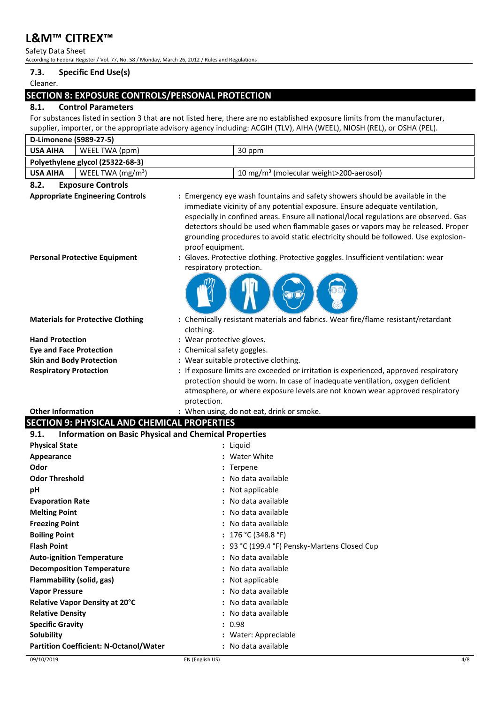Safety Data Sheet According to Federal Register / Vol. 77, No. 58 / Monday, March 26, 2012 / Rules and Regulations

## **7.3. Specific End Use(s)**

#### Cleaner.

## **SECTION 8: EXPOSURE CONTROLS/PERSONAL PROTECTION**

## **8.1. Control Parameters**

For substances listed in section 3 that are not listed here, there are no established exposure limits from the manufacturer, supplier, importer, or the appropriate advisory agency including: ACGIH (TLV), AIHA (WEEL), NIOSH (REL), or OSHA (PEL).

| D-Limonene (5989-27-5)                                                                                                                                                   |                                                                                                                                                                                                                                                                                                                                                                                                                                                                                                                                                                   |  |
|--------------------------------------------------------------------------------------------------------------------------------------------------------------------------|-------------------------------------------------------------------------------------------------------------------------------------------------------------------------------------------------------------------------------------------------------------------------------------------------------------------------------------------------------------------------------------------------------------------------------------------------------------------------------------------------------------------------------------------------------------------|--|
| <b>USA AIHA</b><br>WEEL TWA (ppm)                                                                                                                                        | 30 ppm                                                                                                                                                                                                                                                                                                                                                                                                                                                                                                                                                            |  |
| Polyethylene glycol (25322-68-3)                                                                                                                                         |                                                                                                                                                                                                                                                                                                                                                                                                                                                                                                                                                                   |  |
| <b>USA AIHA</b><br>WEEL TWA $(mg/m3)$                                                                                                                                    | 10 mg/m <sup>3</sup> (molecular weight>200-aerosol)                                                                                                                                                                                                                                                                                                                                                                                                                                                                                                               |  |
| 8.2.<br><b>Exposure Controls</b>                                                                                                                                         |                                                                                                                                                                                                                                                                                                                                                                                                                                                                                                                                                                   |  |
| <b>Appropriate Engineering Controls</b><br><b>Personal Protective Equipment</b>                                                                                          | : Emergency eye wash fountains and safety showers should be available in the<br>immediate vicinity of any potential exposure. Ensure adequate ventilation,<br>especially in confined areas. Ensure all national/local regulations are observed. Gas<br>detectors should be used when flammable gases or vapors may be released. Proper<br>grounding procedures to avoid static electricity should be followed. Use explosion-<br>proof equipment.<br>: Gloves. Protective clothing. Protective goggles. Insufficient ventilation: wear<br>respiratory protection. |  |
| <b>Materials for Protective Clothing</b><br><b>Hand Protection</b><br><b>Eye and Face Protection</b><br><b>Skin and Body Protection</b><br><b>Respiratory Protection</b> | : Chemically resistant materials and fabrics. Wear fire/flame resistant/retardant<br>clothing.<br>: Wear protective gloves.<br>: Chemical safety goggles.<br>: Wear suitable protective clothing.<br>: If exposure limits are exceeded or irritation is experienced, approved respiratory<br>protection should be worn. In case of inadequate ventilation, oxygen deficient<br>atmosphere, or where exposure levels are not known wear approved respiratory                                                                                                       |  |
| <b>Other Information</b>                                                                                                                                                 | protection.<br>: When using, do not eat, drink or smoke.                                                                                                                                                                                                                                                                                                                                                                                                                                                                                                          |  |
| <b>SECTION 9: PHYSICAL AND CHEMICAL PROPERTIES</b>                                                                                                                       |                                                                                                                                                                                                                                                                                                                                                                                                                                                                                                                                                                   |  |
|                                                                                                                                                                          |                                                                                                                                                                                                                                                                                                                                                                                                                                                                                                                                                                   |  |
| <b>Information on Basic Physical and Chemical Properties</b><br>9.1.                                                                                                     |                                                                                                                                                                                                                                                                                                                                                                                                                                                                                                                                                                   |  |
| <b>Physical State</b>                                                                                                                                                    | : Liquid                                                                                                                                                                                                                                                                                                                                                                                                                                                                                                                                                          |  |
| Appearance                                                                                                                                                               | : Water White                                                                                                                                                                                                                                                                                                                                                                                                                                                                                                                                                     |  |
| Odor                                                                                                                                                                     | : Terpene                                                                                                                                                                                                                                                                                                                                                                                                                                                                                                                                                         |  |
| <b>Odor Threshold</b>                                                                                                                                                    | : No data available                                                                                                                                                                                                                                                                                                                                                                                                                                                                                                                                               |  |
| рH                                                                                                                                                                       | : Not applicable                                                                                                                                                                                                                                                                                                                                                                                                                                                                                                                                                  |  |
| <b>Evaporation Rate</b>                                                                                                                                                  | : No data available                                                                                                                                                                                                                                                                                                                                                                                                                                                                                                                                               |  |
| <b>Melting Point</b>                                                                                                                                                     | : No data available                                                                                                                                                                                                                                                                                                                                                                                                                                                                                                                                               |  |
| <b>Freezing Point</b>                                                                                                                                                    | : No data available                                                                                                                                                                                                                                                                                                                                                                                                                                                                                                                                               |  |
| <b>Boiling Point</b>                                                                                                                                                     | : $176 °C (348.8 °F)$                                                                                                                                                                                                                                                                                                                                                                                                                                                                                                                                             |  |
| <b>Flash Point</b>                                                                                                                                                       | : 93 °C (199.4 °F) Pensky-Martens Closed Cup                                                                                                                                                                                                                                                                                                                                                                                                                                                                                                                      |  |
| <b>Auto-ignition Temperature</b>                                                                                                                                         | : No data available                                                                                                                                                                                                                                                                                                                                                                                                                                                                                                                                               |  |
|                                                                                                                                                                          | : No data available                                                                                                                                                                                                                                                                                                                                                                                                                                                                                                                                               |  |
| <b>Decomposition Temperature</b>                                                                                                                                         |                                                                                                                                                                                                                                                                                                                                                                                                                                                                                                                                                                   |  |
| Flammability (solid, gas)                                                                                                                                                | : Not applicable                                                                                                                                                                                                                                                                                                                                                                                                                                                                                                                                                  |  |
| <b>Vapor Pressure</b>                                                                                                                                                    | : No data available<br>: No data available                                                                                                                                                                                                                                                                                                                                                                                                                                                                                                                        |  |
| Relative Vapor Density at 20°C                                                                                                                                           | : No data available                                                                                                                                                                                                                                                                                                                                                                                                                                                                                                                                               |  |
| <b>Relative Density</b>                                                                                                                                                  | : 0.98                                                                                                                                                                                                                                                                                                                                                                                                                                                                                                                                                            |  |
| <b>Specific Gravity</b><br><b>Solubility</b>                                                                                                                             | : Water: Appreciable                                                                                                                                                                                                                                                                                                                                                                                                                                                                                                                                              |  |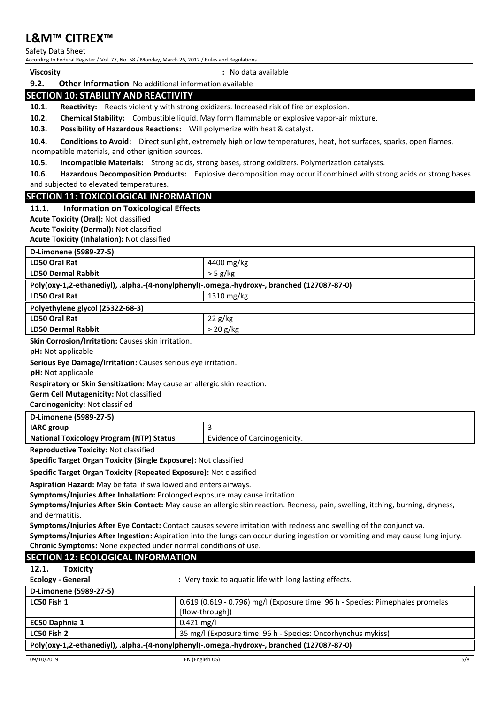Safety Data Sheet

According to Federal Register / Vol. 77, No. 58 / Monday, March 26, 2012 / Rules and Regulations

| <b>Viscosity</b> |
|------------------|
|------------------|

**Viscosity :** No data available

## **9.2. Other Information** No additional information available **SECTION 10: STABILITY AND REACTIVITY**

**10.1. Reactivity:** Reacts violently with strong oxidizers. Increased risk of fire or explosion.

**10.2. Chemical Stability:** Combustible liquid. May form flammable or explosive vapor-air mixture.

**10.3. Possibility of Hazardous Reactions:** Will polymerize with heat & catalyst.

**10.4. Conditions to Avoid:** Direct sunlight, extremely high or low temperatures, heat, hot surfaces, sparks, open flames, incompatible materials, and other ignition sources.

**10.5. Incompatible Materials:** Strong acids, strong bases, strong oxidizers. Polymerization catalysts.

**10.6. Hazardous Decomposition Products:** Explosive decomposition may occur if combined with strong acids or strong bases and subjected to elevated temperatures.

## **SECTION 11: TOXICOLOGICAL INFORMATION**

#### **11.1. Information on Toxicological Effects**

**Acute Toxicity (Oral):** Not classified

**Acute Toxicity (Dermal):** Not classified

**Acute Toxicity (Inhalation):** Not classified

| D-Limonene (5989-27-5)                                                                     |                      |  |
|--------------------------------------------------------------------------------------------|----------------------|--|
| LD50 Oral Rat                                                                              | 4400 mg/kg           |  |
| <b>LD50 Dermal Rabbit</b>                                                                  | $>$ 5 g/kg           |  |
| Poly(oxy-1,2-ethanediyl), .alpha.-(4-nonylphenyl)-.omega.-hydroxy-, branched (127087-87-0) |                      |  |
| LD50 Oral Rat                                                                              | $1310 \text{ mg/kg}$ |  |
| Polyethylene glycol (25322-68-3)                                                           |                      |  |
| LD50 Oral Rat                                                                              | 22 g/kg              |  |
| <b>LD50 Dermal Rabbit</b>                                                                  | $>20$ g/kg           |  |
| $-1$ $-1$ $-1$ $-1$ $-1$ $-1$ $-1$<br>.                                                    |                      |  |

**Skin Corrosion/Irritation:** Causes skin irritation.

**pH:** Not applicable

**Serious Eye Damage/Irritation:** Causes serious eye irritation.

**pH:** Not applicable

**Respiratory or Skin Sensitization:** May cause an allergic skin reaction.

**Germ Cell Mutagenicity:** Not classified

**Carcinogenicity:** Not classified

| D-Limonene (5989-27-5)                          |                              |  |
|-------------------------------------------------|------------------------------|--|
| <b>IARC</b> group                               |                              |  |
| <b>National Toxicology Program (NTP) Status</b> | Evidence of Carcinogenicity. |  |

**Reproductive Toxicity:** Not classified

**Specific Target Organ Toxicity (Single Exposure):** Not classified

**Specific Target Organ Toxicity (Repeated Exposure):** Not classified

**Aspiration Hazard:** May be fatal if swallowed and enters airways.

**Symptoms/Injuries After Inhalation:** Prolonged exposure may cause irritation.

**Symptoms/Injuries After Skin Contact:** May cause an allergic skin reaction. Redness, pain, swelling, itching, burning, dryness, and dermatitis.

**Symptoms/Injuries After Eye Contact:** Contact causes severe irritation with redness and swelling of the conjunctiva.

**Symptoms/Injuries After Ingestion:** Aspiration into the lungs can occur during ingestion or vomiting and may cause lung injury. **Chronic Symptoms:** None expected under normal conditions of use.

## **SECTION 12: ECOLOGICAL INFORMATION**

| <b>Toxicity</b><br>12.1.                                                                   |                                                                                |  |
|--------------------------------------------------------------------------------------------|--------------------------------------------------------------------------------|--|
| <b>Ecology - General</b>                                                                   | : Very toxic to aquatic life with long lasting effects.                        |  |
| D-Limonene (5989-27-5)                                                                     |                                                                                |  |
| LC50 Fish 1                                                                                | 0.619 (0.619 - 0.796) mg/l (Exposure time: 96 h - Species: Pimephales promelas |  |
|                                                                                            | [flow-through])                                                                |  |
| EC50 Daphnia 1                                                                             | $0.421$ mg/l                                                                   |  |
| LC50 Fish 2                                                                                | 35 mg/l (Exposure time: 96 h - Species: Oncorhynchus mykiss)                   |  |
| Poly(oxy-1,2-ethanediyl), .alpha.-(4-nonylphenyl)-.omega.-hydroxy-, branched (127087-87-0) |                                                                                |  |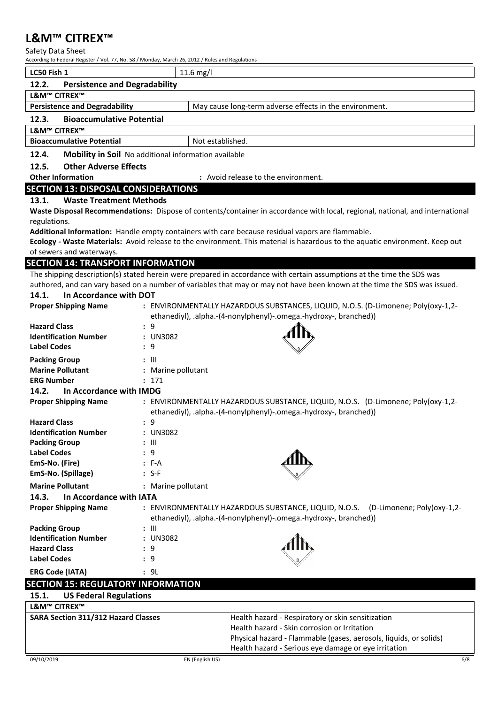Safety Data Sheet

According to Federal Register / Vol. 77, No. 58 / Monday, March 26, 2012 / Rules and Regulations

|                                            | According to reueral Register / Vol. 77, 190. 36 / Monday, March 20, 2012 / Rules and Regulations                                                      |
|--------------------------------------------|--------------------------------------------------------------------------------------------------------------------------------------------------------|
| LC50 Fish 1                                | $11.6$ mg/l                                                                                                                                            |
| 12.2.                                      | <b>Persistence and Degradability</b>                                                                                                                   |
| <b>L&amp;M™ CITREX™</b>                    |                                                                                                                                                        |
| <b>Persistence and Degradability</b>       | May cause long-term adverse effects in the environment.                                                                                                |
| 12.3.<br><b>Bioaccumulative Potential</b>  |                                                                                                                                                        |
| L&M™ CITREX™                               |                                                                                                                                                        |
| <b>Bioaccumulative Potential</b>           | Not established.                                                                                                                                       |
| 12.4.                                      | Mobility in Soil No additional information available                                                                                                   |
| <b>Other Adverse Effects</b><br>12.5.      |                                                                                                                                                        |
| <b>Other Information</b>                   | : Avoid release to the environment.                                                                                                                    |
| <b>SECTION 13: DISPOSAL CONSIDERATIONS</b> |                                                                                                                                                        |
| 13.1.                                      | <b>Waste Treatment Methods</b>                                                                                                                         |
|                                            | Waste Disposal Recommendations: Dispose of contents/container in accordance with local, regional, national, and international                          |
| regulations.                               |                                                                                                                                                        |
|                                            | Additional Information: Handle empty containers with care because residual vapors are flammable.                                                       |
|                                            | Ecology - Waste Materials: Avoid release to the environment. This material is hazardous to the aquatic environment. Keep out                           |
| of sewers and waterways.                   |                                                                                                                                                        |
| <b>SECTION 14: TRANSPORT INFORMATION</b>   |                                                                                                                                                        |
|                                            | The shipping description(s) stated herein were prepared in accordance with certain assumptions at the time the SDS was                                 |
|                                            | authored, and can vary based on a number of variables that may or may not have been known at the time the SDS was issued.                              |
| 14.1.<br>In Accordance with DOT            |                                                                                                                                                        |
| <b>Proper Shipping Name</b>                | : ENVIRONMENTALLY HAZARDOUS SUBSTANCES, LIQUID, N.O.S. (D-Limonene; Poly(oxy-1,2-<br>ethanediyl), .alpha.-(4-nonylphenyl)-.omega.-hydroxy-, branched)) |
| <b>Hazard Class</b>                        | : 9                                                                                                                                                    |
| <b>Identification Number</b>               | : UN3082                                                                                                                                               |
| <b>Label Codes</b>                         | : 9                                                                                                                                                    |
| <b>Packing Group</b>                       | : III                                                                                                                                                  |
| <b>Marine Pollutant</b>                    | : Marine pollutant                                                                                                                                     |
| <b>ERG Number</b>                          | : 171                                                                                                                                                  |
| 14.2.<br>In Accordance with IMDG           |                                                                                                                                                        |
| <b>Proper Shipping Name</b>                | : ENVIRONMENTALLY HAZARDOUS SUBSTANCE, LIQUID, N.O.S. (D-Limonene; Poly(oxy-1,2-                                                                       |
|                                            | ethanediyl), .alpha.-(4-nonylphenyl)-.omega.-hydroxy-, branched))                                                                                      |
| <b>Hazard Class</b>                        | 9                                                                                                                                                      |
| <b>Identification Number</b>               | : UN3082                                                                                                                                               |
| <b>Packing Group</b><br><b>Label Codes</b> | : III<br>9                                                                                                                                             |
| EmS-No. (Fire)                             | : F-A                                                                                                                                                  |
| EmS-No. (Spillage)                         | : S-F                                                                                                                                                  |
| <b>Marine Pollutant</b>                    | : Marine pollutant                                                                                                                                     |
| 14.3.<br>In Accordance with IATA           |                                                                                                                                                        |
| <b>Proper Shipping Name</b>                | : ENVIRONMENTALLY HAZARDOUS SUBSTANCE, LIQUID, N.O.S. (D-Limonene; Poly(oxy-1,2-                                                                       |
|                                            | ethanediyl), .alpha.-(4-nonylphenyl)-.omega.-hydroxy-, branched))                                                                                      |
| <b>Packing Group</b>                       | : 111                                                                                                                                                  |
| <b>Identification Number</b>               | : UN3082                                                                                                                                               |
| <b>Hazard Class</b>                        | 9                                                                                                                                                      |
| <b>Label Codes</b>                         | 9                                                                                                                                                      |
| <b>ERG Code (IATA)</b>                     | : 9L                                                                                                                                                   |
| <b>SECTION 15: REGULATORY INFORMATION</b>  |                                                                                                                                                        |
| <b>US Federal Regulations</b><br>15.1.     |                                                                                                                                                        |

| -----                               |                                                                   |
|-------------------------------------|-------------------------------------------------------------------|
| L&M™ CITREX™                        |                                                                   |
| SARA Section 311/312 Hazard Classes | Health hazard - Respiratory or skin sensitization                 |
|                                     | Health hazard - Skin corrosion or Irritation                      |
|                                     | Physical hazard - Flammable (gases, aerosols, liquids, or solids) |
|                                     | Health hazard - Serious eye damage or eye irritation              |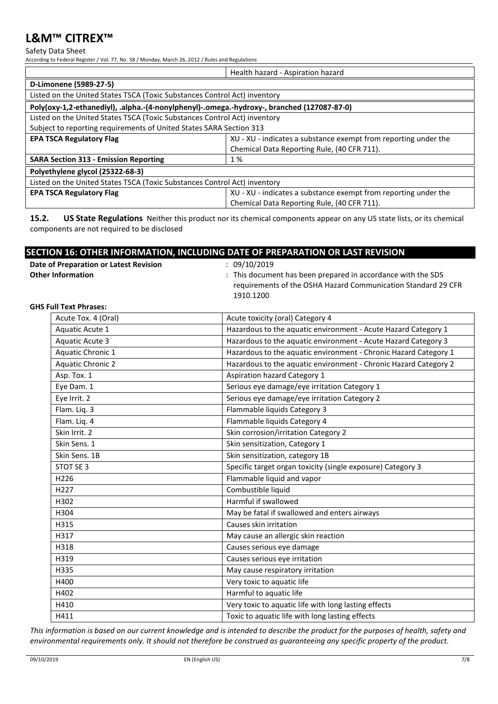#### Safety Data Sheet

According to Federal Register / Vol. 77, No. 58 / Monday, March 26, 2012 / Rules and Regulations

|                                                                                            | Health hazard - Aspiration hazard                               |  |
|--------------------------------------------------------------------------------------------|-----------------------------------------------------------------|--|
| D-Limonene (5989-27-5)                                                                     |                                                                 |  |
| Listed on the United States TSCA (Toxic Substances Control Act) inventory                  |                                                                 |  |
| Poly(oxy-1,2-ethanediyl), .alpha.-(4-nonylphenyl)-.omega.-hydroxy-, branched (127087-87-0) |                                                                 |  |
| Listed on the United States TSCA (Toxic Substances Control Act) inventory                  |                                                                 |  |
| Subject to reporting requirements of United States SARA Section 313                        |                                                                 |  |
| <b>EPA TSCA Regulatory Flag</b>                                                            | XU - XU - indicates a substance exempt from reporting under the |  |
|                                                                                            | Chemical Data Reporting Rule, (40 CFR 711).                     |  |
| <b>SARA Section 313 - Emission Reporting</b>                                               | 1%                                                              |  |
| Polyethylene glycol (25322-68-3)                                                           |                                                                 |  |
| Listed on the United States TSCA (Toxic Substances Control Act) inventory                  |                                                                 |  |
| <b>EPA TSCA Regulatory Flag</b>                                                            | XU - XU - indicates a substance exempt from reporting under the |  |
|                                                                                            | Chemical Data Reporting Rule, (40 CFR 711).                     |  |

**15.2. US State Regulations** Neither this product nor its chemical components appear on any US state lists, or its chemical components are not required to be disclosed

| SECTION 16: OTHER INFORMATION, INCLUDING DATE OF PREPARATION OR LAST REVISION |
|-------------------------------------------------------------------------------|
|-------------------------------------------------------------------------------|

| Date of Preparation or Latest Revision | 09/10/2019                                                         |
|----------------------------------------|--------------------------------------------------------------------|
| <b>Other Information</b>               | $\cdot$ This document has been prepared in accordance with the SDS |
|                                        | requirements of the OSHA Hazard Communication Standard 29 CFR      |
|                                        | 1910.1200                                                          |
|                                        |                                                                    |

#### **GHS Full Text Phrases:**

| Acute Tox. 4 (Oral)      | Acute toxicity (oral) Category 4                                 |
|--------------------------|------------------------------------------------------------------|
| Aquatic Acute 1          | Hazardous to the aquatic environment - Acute Hazard Category 1   |
| <b>Aquatic Acute 3</b>   | Hazardous to the aquatic environment - Acute Hazard Category 3   |
| Aquatic Chronic 1        | Hazardous to the aquatic environment - Chronic Hazard Category 1 |
| <b>Aquatic Chronic 2</b> | Hazardous to the aquatic environment - Chronic Hazard Category 2 |
| Asp. Tox. 1              | <b>Aspiration hazard Category 1</b>                              |
| Eye Dam. 1               | Serious eye damage/eye irritation Category 1                     |
| Eye Irrit. 2             | Serious eye damage/eye irritation Category 2                     |
| Flam. Liq. 3             | Flammable liquids Category 3                                     |
| Flam. Liq. 4             | Flammable liquids Category 4                                     |
| Skin Irrit. 2            | Skin corrosion/irritation Category 2                             |
| Skin Sens. 1             | Skin sensitization, Category 1                                   |
| Skin Sens. 1B            | Skin sensitization, category 1B                                  |
| STOT SE 3                | Specific target organ toxicity (single exposure) Category 3      |
| H <sub>226</sub>         | Flammable liquid and vapor                                       |
| H <sub>227</sub>         | Combustible liquid                                               |
| H302                     | Harmful if swallowed                                             |
| H304                     | May be fatal if swallowed and enters airways                     |
| H315                     | Causes skin irritation                                           |
| H317                     | May cause an allergic skin reaction                              |
| H318                     | Causes serious eye damage                                        |
| H319                     | Causes serious eye irritation                                    |
| H335                     | May cause respiratory irritation                                 |
| H400                     | Very toxic to aquatic life                                       |
| H402                     | Harmful to aquatic life                                          |
| H410                     | Very toxic to aquatic life with long lasting effects             |
| H411                     | Toxic to aquatic life with long lasting effects                  |

*This information is based on our current knowledge and is intended to describe the product for the purposes of health, safety and environmental requirements only. It should not therefore be construed as guaranteeing any specific property of the product.*